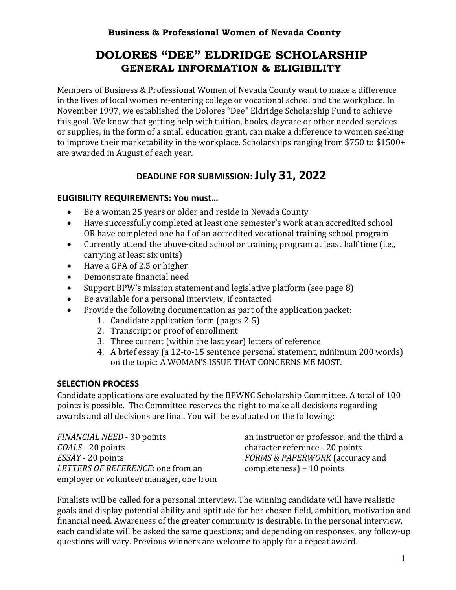# **DOLORES "DEE" ELDRIDGE SCHOLARSHIP GENERAL INFORMATION & ELIGIBILITY**

Members of Business & Professional Women of Nevada County want to make a difference in the lives of local women re-entering college or vocational school and the workplace. In November 1997, we established the Dolores "Dee" Eldridge Scholarship Fund to achieve this goal. We know that getting help with tuition, books, daycare or other needed services or supplies, in the form of a small education grant, can make a difference to women seeking to improve their marketability in the workplace. Scholarships ranging from \$750 to \$1500+ are awarded in August of each year.

# **DEADLINE FOR SUBMISSION: July 31, 2022**

### **ELIGIBILITY REQUIREMENTS: You must…**

- Be a woman 25 years or older and reside in Nevada County
- Have successfully completed at least one semester's work at an accredited school OR have completed one half of an accredited vocational training school program
- Currently attend the above-cited school or training program at least half time (i.e., carrying at least six units)
- Have a GPA of 2.5 or higher
- Demonstrate financial need
- Support BPW's mission statement and legislative platform (see page 8)
- Be available for a personal interview, if contacted
- Provide the following documentation as part of the application packet:
	- 1. Candidate application form (pages 2-5)
	- 2. Transcript or proof of enrollment
	- 3. Three current (within the last year) letters of reference
	- 4. A brief essay (a 12-to-15 sentence personal statement, minimum 200 words) on the topic: A WOMAN'S ISSUE THAT CONCERNS ME MOST.

#### **SELECTION PROCESS**

Candidate applications are evaluated by the BPWNC Scholarship Committee. A total of 100 points is possible. The Committee reserves the right to make all decisions regarding awards and all decisions are final. You will be evaluated on the following:

*FINANCIAL NEED* - 30 points *GOALS* - 20 points *ESSAY* - 20 points LETTERS OF REFERENCE: one from an employer or volunteer manager, one from an instructor or professor, and the third a character reference - 20 points FORMS & PAPERWORK (accuracy and  $complexness$ ) – 10 points

Finalists will be called for a personal interview. The winning candidate will have realistic goals and display potential ability and aptitude for her chosen field, ambition, motivation and financial need. Awareness of the greater community is desirable. In the personal interview, each candidate will be asked the same questions; and depending on responses, any follow-up questions will vary. Previous winners are welcome to apply for a repeat award.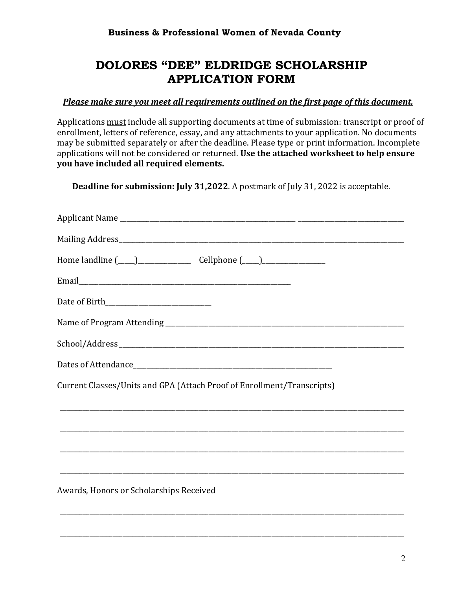# **DOLORES "DEE" ELDRIDGE SCHOLARSHIP APPLICATION FORM**

### Please make sure you meet all requirements outlined on the first page of this document.

Applications must include all supporting documents at time of submission: transcript or proof of enrollment, letters of reference, essay, and any attachments to your application. No documents may be submitted separately or after the deadline. Please type or print information. Incomplete applications will not be considered or returned. Use the attached worksheet to help ensure **you have included all required elements.** 

**Deadline for submission: July 31,2022**. A postmark of July 31, 2022 is acceptable.

| Current Classes/Units and GPA (Attach Proof of Enrollment/Transcripts)           |
|----------------------------------------------------------------------------------|
| ,我们也不会有什么。""我们的人,我们也不会有什么?""我们的人,我们也不会有什么?""我们的人,我们也不会有什么?""我们的人,我们也不会有什么?""我们的人 |
|                                                                                  |
|                                                                                  |
| Awards, Honors or Scholarships Received                                          |
|                                                                                  |

\_\_\_\_\_\_\_\_\_\_\_\_\_\_\_\_\_\_\_\_\_\_\_\_\_\_\_\_\_\_\_\_\_\_\_\_\_\_\_\_\_\_\_\_\_\_\_\_\_\_\_\_\_\_\_\_\_\_\_\_\_\_\_\_\_\_\_\_\_\_\_\_\_\_\_\_\_\_\_\_\_\_\_\_\_\_\_\_\_\_\_\_\_\_\_\_\_\_\_\_\_\_\_\_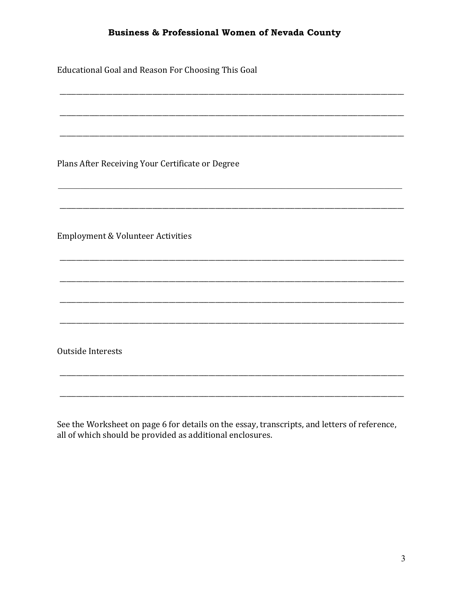Educational Goal and Reason For Choosing This Goal

Plans After Receiving Your Certificate or Degree

Employment & Volunteer Activities

Outside Interests

See the Worksheet on page 6 for details on the essay, transcripts, and letters of reference, all of which should be provided as additional enclosures.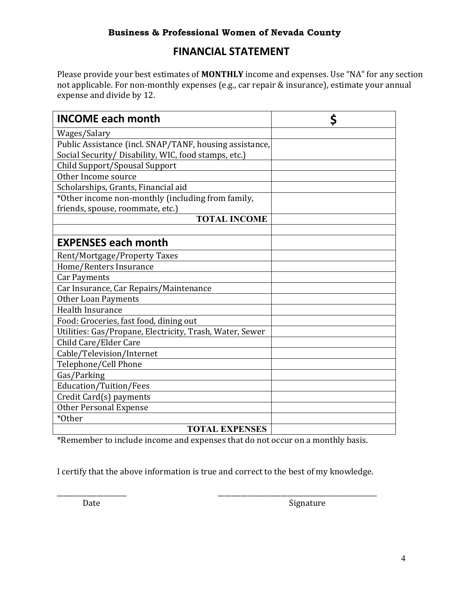# **FINANCIAL STATEMENT**

Please provide your best estimates of **MONTHLY** income and expenses. Use "NA" for any section not applicable. For non-monthly expenses (e.g., car repair & insurance), estimate your annual expense and divide by 12.

| <b>INCOME each month</b>                                 | \$ |
|----------------------------------------------------------|----|
| Wages/Salary                                             |    |
| Public Assistance (incl. SNAP/TANF, housing assistance,  |    |
| Social Security/ Disability, WIC, food stamps, etc.)     |    |
| Child Support/Spousal Support                            |    |
| Other Income source                                      |    |
| Scholarships, Grants, Financial aid                      |    |
| *Other income non-monthly (including from family,        |    |
| friends, spouse, roommate, etc.)                         |    |
| <b>TOTAL INCOME</b>                                      |    |
|                                                          |    |
| <b>EXPENSES each month</b>                               |    |
| Rent/Mortgage/Property Taxes                             |    |
| Home/Renters Insurance                                   |    |
| <b>Car Payments</b>                                      |    |
| Car Insurance, Car Repairs/Maintenance                   |    |
| <b>Other Loan Payments</b>                               |    |
| <b>Health Insurance</b>                                  |    |
| Food: Groceries, fast food, dining out                   |    |
| Utilities: Gas/Propane, Electricity, Trash, Water, Sewer |    |
| Child Care/Elder Care                                    |    |
| Cable/Television/Internet                                |    |
| Telephone/Cell Phone                                     |    |
| Gas/Parking                                              |    |
| Education/Tuition/Fees                                   |    |
| Credit Card(s) payments                                  |    |
| <b>Other Personal Expense</b>                            |    |
| *Other                                                   |    |
| <b>TOTAL EXPENSES</b>                                    |    |

\*Remember to include income and expenses that do not occur on a monthly basis.

I certify that the above information is true and correct to the best of my knowledge.

\_\_\_\_\_\_\_\_\_\_\_\_\_\_\_\_\_\_\_\_\_ \_\_\_\_\_\_\_\_\_\_\_\_\_\_\_\_\_\_\_\_\_\_\_\_\_\_\_\_\_\_\_\_\_\_\_\_\_\_\_\_\_\_\_\_\_\_\_\_

Date Signature **Contract Contract Contract Contract Contract Contract Contract Contract Contract Contract Contract Contract Contract Contract Contract Contract Contract Contract Contract Contract Contract Contract Contract**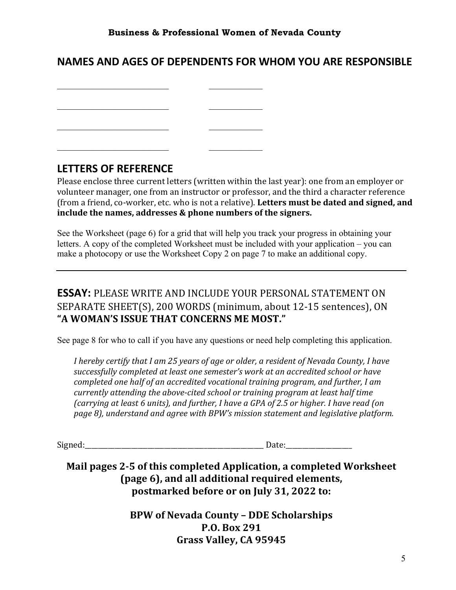# **NAMES AND AGES OF DEPENDENTS FOR WHOM YOU ARE RESPONSIBLE**

**LETTERS OF REFERENCE** 

Please enclose three current letters (written within the last year): one from an employer or volunteer manager, one from an instructor or professor, and the third a character reference (from a friend, co-worker, etc. who is not a relative). Letters must be dated and signed, and include the names, addresses & phone numbers of the signers.

See the Worksheet (page 6) for a grid that will help you track your progress in obtaining your letters. A copy of the completed Worksheet must be included with your application – you can make a photocopy or use the Worksheet Copy 2 on page 7 to make an additional copy.

## **ESSAY:** PLEASE WRITE AND INCLUDE YOUR PERSONAL STATEMENT ON SEPARATE SHEET(S), 200 WORDS (minimum, about 12-15 sentences), ON "A WOMAN'S ISSUE THAT CONCERNS ME MOST."

See page 8 for who to call if you have any questions or need help completing this application.

*I* hereby certify that *I* am 25 years of age or older, a resident of Nevada County, *I* have successfully completed at least one semester's work at an accredited school or have *completed one half of an accredited vocational training program, and further, I am currently attending the above-cited school or training program at least half time (carrying at least 6 units), and further, I have a GPA of 2.5 or higher. I have read (on* page 8), understand and agree with BPW's mission statement and legislative platform.

Signed:\_\_\_\_\_\_\_\_\_\_\_\_\_\_\_\_\_\_\_\_\_\_\_\_\_\_\_\_\_\_\_\_\_\_\_\_\_\_\_\_\_\_\_\_\_\_\_\_\_\_\_\_\_\_ Date:\_\_\_\_\_\_\_\_\_\_\_\_\_\_\_\_\_\_\_\_

Mail pages 2-5 of this completed Application, a completed Worksheet (page 6), and all additional required elements, **postmarked before or on July 31, 2022 to:**

> **BPW of Nevada County – DDE Scholarships P.O. Box 291** Grass Valley, CA 95945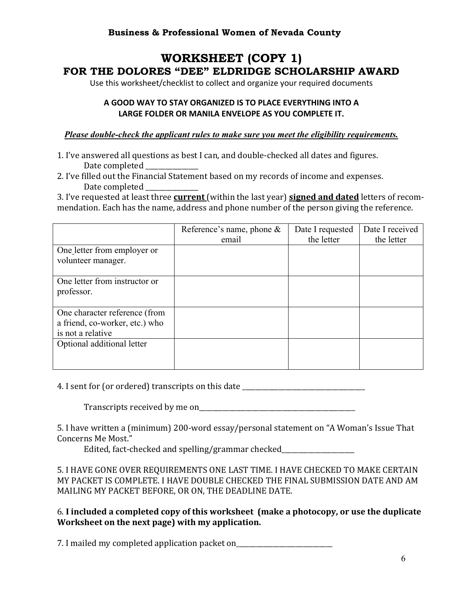# **WORKSHEET (COPY 1) FOR THE DOLORES "DEE" ELDRIDGE SCHOLARSHIP AWARD**

Use this worksheet/checklist to collect and organize your required documents

### **A GOOD WAY TO STAY ORGANIZED IS TO PLACE EVERYTHING INTO A LARGE FOLDER OR MANILA ENVELOPE AS YOU COMPLETE IT.**

#### *Please double-check the applicant rules to make sure you meet the eligibility requirements.*

- 1. I've answered all questions as best I can, and double-checked all dates and figures. Date completed
- 2. I've filled out the Financial Statement based on my records of income and expenses. Date completed

3. I've requested at least three **current** (within the last year) **signed and dated** letters of recommendation. Each has the name, address and phone number of the person giving the reference.

|                                                                                      | Reference's name, phone $\&$<br>email | Date I requested<br>the letter | Date I received<br>the letter |
|--------------------------------------------------------------------------------------|---------------------------------------|--------------------------------|-------------------------------|
| One letter from employer or<br>volunteer manager.                                    |                                       |                                |                               |
| One letter from instructor or<br>professor.                                          |                                       |                                |                               |
| One character reference (from<br>a friend, co-worker, etc.) who<br>is not a relative |                                       |                                |                               |
| Optional additional letter                                                           |                                       |                                |                               |

4. I sent for (or ordered) transcripts on this date

Transcripts received by me on

5. I have written a (minimum) 200-word essay/personal statement on "A Woman's Issue That Concerns Me Most."

Edited, fact-checked and spelling/grammar checked\_\_\_\_\_\_\_\_\_\_\_\_\_\_\_\_\_\_\_\_\_\_\_\_\_\_\_\_\_\_\_

5. I HAVE GONE OVER REQUIREMENTS ONE LAST TIME. I HAVE CHECKED TO MAKE CERTAIN MY PACKET IS COMPLETE. I HAVE DOUBLE CHECKED THE FINAL SUBMISSION DATE AND AM MAILING MY PACKET BEFORE, OR ON, THE DEADLINE DATE.

6. **I included a completed copy of this worksheet (make a photocopy, or use the duplicate Worksheet on the next page) with my application.** 

7. I mailed my completed application packet on\_\_\_\_\_\_\_\_\_\_\_\_\_\_\_\_\_\_\_\_\_\_\_\_\_\_\_\_\_\_\_\_\_\_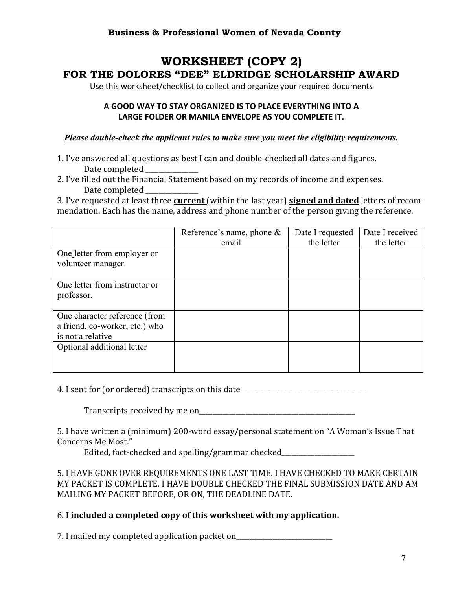# **WORKSHEET (COPY 2) FOR THE DOLORES "DEE" ELDRIDGE SCHOLARSHIP AWARD**

Use this worksheet/checklist to collect and organize your required documents

### **A GOOD WAY TO STAY ORGANIZED IS TO PLACE EVERYTHING INTO A LARGE FOLDER OR MANILA ENVELOPE AS YOU COMPLETE IT.**

#### *Please double-check the applicant rules to make sure you meet the eligibility requirements.*

- 1. I've answered all questions as best I can and double-checked all dates and figures. Date completed
- 2. I've filled out the Financial Statement based on my records of income and expenses. Date completed

3. I've requested at least three **current** (within the last year) **signed and dated** letters of recommendation. Each has the name, address and phone number of the person giving the reference.

|                                                                                      | Reference's name, phone $\&$<br>email | Date I requested<br>the letter | Date I received<br>the letter |
|--------------------------------------------------------------------------------------|---------------------------------------|--------------------------------|-------------------------------|
| One letter from employer or<br>volunteer manager.                                    |                                       |                                |                               |
| One letter from instructor or<br>professor.                                          |                                       |                                |                               |
| One character reference (from<br>a friend, co-worker, etc.) who<br>is not a relative |                                       |                                |                               |
| Optional additional letter                                                           |                                       |                                |                               |

4. I sent for (or ordered) transcripts on this date \_\_\_\_\_\_\_\_\_\_\_\_\_\_\_\_\_\_\_\_\_\_\_\_\_\_\_\_

Transcripts received by me on

5. I have written a (minimum) 200-word essay/personal statement on "A Woman's Issue That Concerns Me Most."

Edited, fact-checked and spelling/grammar checked\_\_\_\_\_\_\_\_\_\_\_\_\_\_\_\_\_\_\_\_\_\_\_\_\_\_\_\_\_\_\_

5. I HAVE GONE OVER REQUIREMENTS ONE LAST TIME. I HAVE CHECKED TO MAKE CERTAIN MY PACKET IS COMPLETE. I HAVE DOUBLE CHECKED THE FINAL SUBMISSION DATE AND AM MAILING MY PACKET BEFORE, OR ON, THE DEADLINE DATE.

#### 6. **I included a completed copy of this worksheet with my application.**

7. I mailed my completed application packet on\_\_\_\_\_\_\_\_\_\_\_\_\_\_\_\_\_\_\_\_\_\_\_\_\_\_\_\_\_\_\_\_\_\_